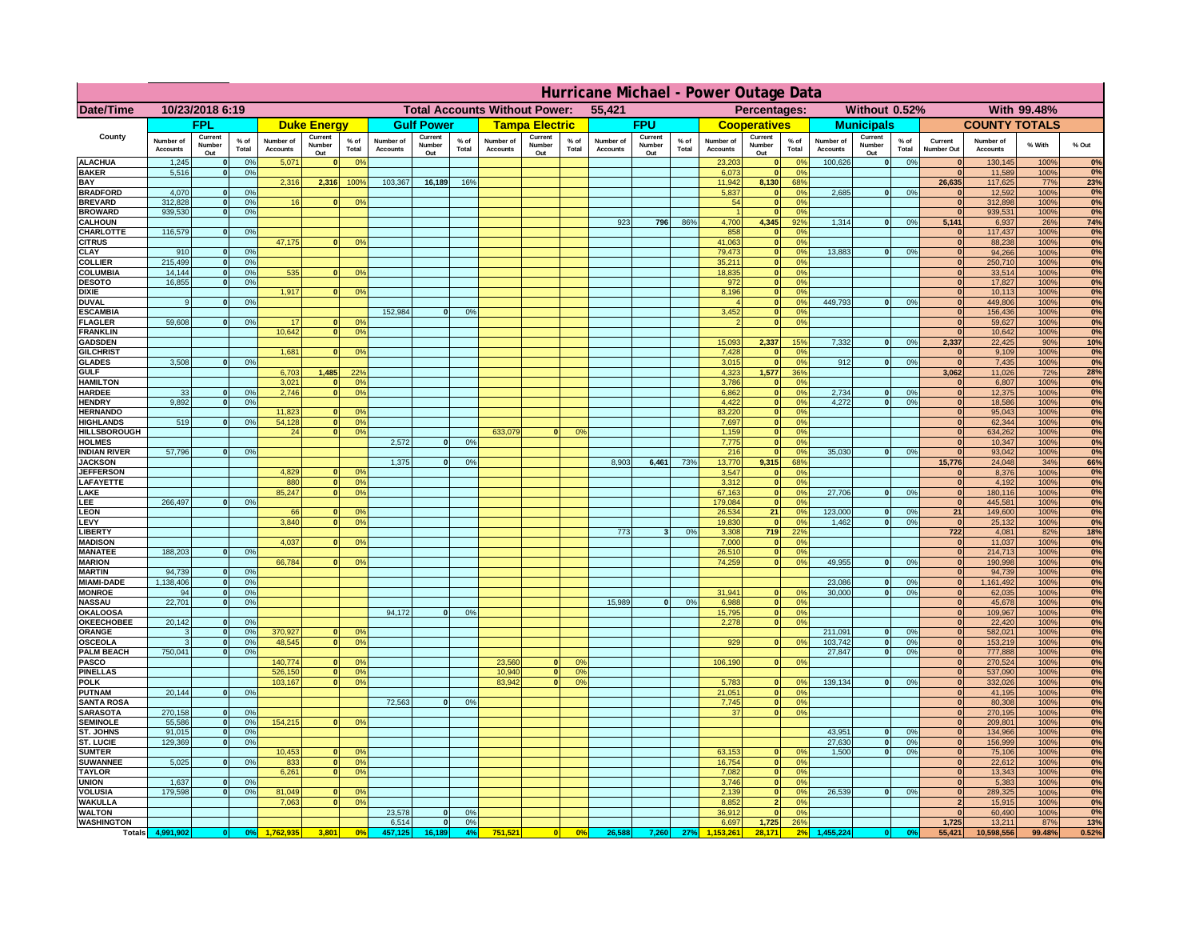|                                      | Hurricane Michael - Power Outage Data |                              |                      |                              |                                 |                   |                                                |                          |                      |                              |                                              |                     |                              |                          |               |                              |                              |                                               |                              |                          |                 |                              |                              |              |             |
|--------------------------------------|---------------------------------------|------------------------------|----------------------|------------------------------|---------------------------------|-------------------|------------------------------------------------|--------------------------|----------------------|------------------------------|----------------------------------------------|---------------------|------------------------------|--------------------------|---------------|------------------------------|------------------------------|-----------------------------------------------|------------------------------|--------------------------|-----------------|------------------------------|------------------------------|--------------|-------------|
| Date/Time                            | 10/23/2018 6:19                       |                              |                      |                              |                                 |                   | <b>Total Accounts Without Power:</b><br>55,421 |                          |                      |                              | Without 0.52%<br>With 99.48%<br>Percentages: |                     |                              |                          |               |                              |                              |                                               |                              |                          |                 |                              |                              |              |             |
|                                      | <b>FPL</b>                            |                              | <b>Duke Energy</b>   |                              |                                 | <b>Gulf Power</b> |                                                | <b>Tampa Electric</b>    |                      | <b>FPU</b>                   |                                              | <b>Cooperatives</b> |                              | <b>Municipals</b>        |               |                              | <b>COUNTY TOTALS</b>         |                                               |                              |                          |                 |                              |                              |              |             |
| County                               | Number of<br><b>Accounts</b>          | Current<br>Number<br>Out     | $%$ of<br>Total      | Number of<br><b>Accounts</b> | Current<br><b>Number</b><br>Out | $%$ of<br>Total   | Number of<br>Accounts                          | Current<br>Number<br>Out | $%$ of<br>Total      | Number of<br><b>Accounts</b> | Current<br>Number<br>Out                     | $%$ of<br>Total     | Number of<br><b>Accounts</b> | Current<br>Number<br>Out | % of<br>Total | Number of<br><b>Accounts</b> | Current<br>Number<br>Out     | $%$ of<br>Total                               | Number of<br><b>Accounts</b> | Current<br>Number<br>Out | $%$ of<br>Total | Current<br>Number Out        | Number of<br><b>Accounts</b> | % With       | % Out       |
| <b>ALACHUA</b><br><b>BAKER</b>       | 1,245                                 | $\mathbf{0}$<br>$\mathbf{0}$ | 0%                   | 5,071                        |                                 | 0 <sup>9</sup>    |                                                |                          |                      |                              |                                              |                     |                              |                          |               | 23,203                       | $\bf{0}$<br>$\bf{0}$         | $^{\circ}$<br>0 <sup>9</sup>                  | 100,626                      | 0                        | 0%              | $\mathbf{0}$<br>$\mathbf{0}$ | 130,145                      | 100%         | 0%<br>0%    |
| BAY                                  | 5,516                                 |                              | 0%                   | 2,316                        | 2,316                           | 100%              | 103,367                                        | 16,189                   | 16%                  |                              |                                              |                     |                              |                          |               | 6,073<br>11,942              | 8,130                        | 68%                                           |                              |                          |                 | 26,635                       | 11,589<br>117,625            | 100%<br>77%  | 23%         |
| <b>BRADFORD</b>                      | 4,070                                 | $\Omega$                     | 0%                   |                              |                                 |                   |                                                |                          |                      |                              |                                              |                     |                              |                          |               | 5,837                        | 0                            | 0 <sup>9</sup>                                | 2,685                        | 0                        | 0%              | $\Omega$                     | 12,592                       | 100%         | 0%          |
| <b>BREVARD</b><br><b>BROWARD</b>     | 312.828<br>939.530                    | $\mathbf{0}$<br>$\mathbf{0}$ | 0 <sup>9</sup><br>0% | 16                           |                                 | 0 <sup>o</sup>    |                                                |                          |                      |                              |                                              |                     |                              |                          |               | 54                           | 0 <br> 0                     | 0 <sup>9</sup><br>0%                          |                              |                          |                 | 0 <br> 0                     | 312,898<br>939,531           | 100%<br>100% | 0%<br>0%    |
| <b>CALHOUN</b>                       |                                       |                              |                      |                              |                                 |                   |                                                |                          |                      |                              |                                              |                     | 923                          | 796                      | 86%           | 4,700                        | 4,345                        | 92%                                           | 1,314                        | 0                        | 0%              | 5,141                        | 6,937                        | 26%          | 74%         |
| CHARLOTTE<br><b>CITRUS</b>           | 116,579                               | $\mathbf{0}$                 | 0%                   | 47,175                       |                                 | 0 <sup>o</sup>    |                                                |                          |                      |                              |                                              |                     |                              |                          |               | 858<br>41.063                | 0 <br> 0                     | 0%<br>0 <sup>9</sup>                          |                              |                          |                 | $\mathbf{0}$<br>$\mathbf{0}$ | 117,437<br>88,238            | 100%<br>100% | 0%<br>0%    |
| CLAY                                 | 910                                   |                              | 0 <sup>9</sup>       |                              |                                 |                   |                                                |                          |                      |                              |                                              |                     |                              |                          |               | 79,473                       | 0                            | 0%                                            | 13,883                       | 0                        | 0%              | $\bf{0}$                     | 94,266                       | 100%         | 0%          |
| <b>COLLIER</b>                       | 215,499                               |                              | 0%                   |                              |                                 |                   |                                                |                          |                      |                              |                                              |                     |                              |                          |               | 35,211                       | 0                            | 0 <sup>9</sup>                                |                              |                          |                 | $\mathbf{0}$                 | 250,710                      | 100%         | 0%          |
| COLUMBIA<br><b>DESOTO</b>            | 14,144<br>16,855                      |                              | 0%<br>0%             | 535                          |                                 | 0 <sup>o</sup>    |                                                |                          |                      |                              |                                              |                     |                              |                          |               | 18,835<br>972                | 0 <br> 0                     | 0 <sup>9</sup><br>0 <sup>9</sup>              |                              |                          |                 | $\mathbf{0}$                 | 33,514<br>17,827             | 100%<br>100% | 0%<br>0%    |
| <b>DIXIE</b>                         |                                       |                              |                      | 1,917                        |                                 | 0 <sup>o</sup>    |                                                |                          |                      |                              |                                              |                     |                              |                          |               | 8,196                        | 0                            | 0 <sup>9</sup>                                |                              |                          |                 |                              | 10,113                       | 100%         | 0%          |
| <b>DUVAL</b>                         | 9                                     |                              | 0 <sup>9</sup>       |                              |                                 |                   |                                                |                          |                      |                              |                                              |                     |                              |                          |               |                              | 0                            | 0 <sup>9</sup>                                | 449,793                      | 0                        | 0%              | $\mathbf{0}$                 | 449,806                      | 100%         | 0%          |
| <b>ESCAMBIA</b><br><b>FLAGLER</b>    | 59,608                                | $\mathbf{0}$                 | 0 <sup>9</sup>       | 17                           |                                 | 0 <sup>9</sup>    | 152,984                                        | $\Omega$                 | 0 <sup>9</sup>       |                              |                                              |                     |                              |                          |               | 3,452                        | $\mathbf{0}$<br>$\mathbf{0}$ | 0 <sup>o</sup><br>0 <sup>9</sup>              |                              |                          |                 | $\mathbf{0}$<br>$\mathbf{0}$ | 156,436<br>59,627            | 100%<br>100% | $0\%$<br>0% |
| <b>FRANKLIN</b>                      |                                       |                              |                      | 10,642                       |                                 | 0 <sup>9</sup>    |                                                |                          |                      |                              |                                              |                     |                              |                          |               |                              |                              |                                               |                              |                          |                 | $\mathbf{0}$                 | 10,642                       | 100%         | 0%          |
| <b>GADSDEN</b>                       |                                       |                              |                      |                              |                                 |                   |                                                |                          |                      |                              |                                              |                     |                              |                          |               | 15,093                       | 2,337                        | 15%                                           | 7,332                        | 0                        | 0%              | 2,337                        | 22,425                       | 90%          | 10%         |
| <b>GILCHRIST</b><br><b>GLADES</b>    | 3.508                                 |                              | 0%                   | 1.681                        |                                 | 0 <sup>9</sup>    |                                                |                          |                      |                              |                                              |                     |                              |                          |               | 7,428<br>3,015               | 0 <br> 0                     | 0 <sup>9</sup><br>0%                          | 912                          | 0                        | 0%              | $\mathbf{0}$<br>$\mathbf{0}$ | 9,109<br>7,435               | 100%<br>100% | 0%<br>0%    |
| <b>GULF</b>                          |                                       |                              |                      | 6,703                        | 1,485                           | 22%               |                                                |                          |                      |                              |                                              |                     |                              |                          |               | 4,323                        | 1,577                        | 36%                                           |                              |                          |                 | 3,062                        | 11,026                       | 72%          | 28%         |
| <b>HAMILTON</b>                      |                                       |                              |                      | 3,021                        |                                 | 0 <sup>9</sup>    |                                                |                          |                      |                              |                                              |                     |                              |                          |               | 3,786                        | 0                            | 0%                                            |                              |                          |                 | 0                            | 6,807                        | 100%         | 0%          |
| <b>HARDEE</b><br><b>HENDRY</b>       | 33<br>9.892                           | $\mathbf{0}$<br>$\Omega$     | 0%<br>0 <sup>9</sup> | 2,746                        |                                 | 0 <sup>9</sup>    |                                                |                          |                      |                              |                                              |                     |                              |                          |               | 6,862<br>4,422               | $\overline{0}$               | 0%<br> 0 <br>0%                               | 2,734<br>4.272               | $\mathbf{0}$<br> 0       | 0%<br>0%        | 0 <br> 0                     | 12,375<br>18,586             | 100%<br>100% | 0%<br>0%    |
| <b>HERNANDO</b>                      |                                       |                              |                      | 11,823                       |                                 | 0 <sup>o</sup>    |                                                |                          |                      |                              |                                              |                     |                              |                          |               | 83,220                       |                              | 0 <br>0 <sup>9</sup>                          |                              |                          |                 | 0                            | 95,043                       | 100%         | 0%          |
| <b>HIGHLANDS</b>                     | 519                                   | $\Omega$                     | 0%                   | 54,128<br>24                 |                                 | 0 <sup>9</sup>    |                                                |                          |                      |                              | $\Omega$                                     | 0 <sup>9</sup>      |                              |                          |               | 7,697                        |                              | 0 <br>0 <sup>9</sup><br>0 <sup>9</sup>        |                              |                          |                 | 0 <br> 0                     | 62,344                       | 100%         | 0%<br>0%    |
| <b>HILLSBOROUGH</b><br><b>HOLMES</b> |                                       |                              |                      |                              |                                 | 0 <sup>9</sup>    | 2,572                                          | $\Omega$                 | 0 <sup>9</sup>       | 633,079                      |                                              |                     |                              |                          |               | 1,159<br>7,775               |                              | 0 <br> 0 <br>0 <sup>9</sup>                   |                              |                          |                 | $\mathbf{0}$                 | 634,262<br>10,347            | 100%<br>100% | 0%          |
| <b>INDIAN RIVER</b>                  | 57,796                                |                              | 0%                   |                              |                                 |                   |                                                |                          |                      |                              |                                              |                     |                              |                          |               | 216                          | 0                            | 0 <sup>9</sup>                                | 35.030                       | 0                        | 0%              | $\mathbf{0}$                 | 93,042                       | 100%         | 0%          |
| <b>JACKSON</b><br><b>JEFFERSON</b>   |                                       |                              |                      | 4.829                        |                                 | 0 <sup>9</sup>    | 1,375                                          | $\Omega$                 | 0 <sup>9</sup>       |                              |                                              |                     | 8,903                        | 6,461                    | 73%           | 13,770<br>3.547              | 9,315<br>$\mathbf{0}$        | 68%<br>0 <sup>9</sup>                         |                              |                          |                 | 15,776<br>$\mathbf{0}$       | 24,048<br>8,376              | 34%<br>100%  | 66%<br>0%   |
| LAFAYETTE                            |                                       |                              |                      | 880                          | n.                              | 0 <sup>9</sup>    |                                                |                          |                      |                              |                                              |                     |                              |                          |               | 3.312                        |                              | $\mathbf{0}$<br>0%                            |                              |                          |                 | 0                            | 4.192                        | 100%         | 0%          |
| LAKE                                 |                                       |                              |                      | 85,247                       |                                 | 0%                |                                                |                          |                      |                              |                                              |                     |                              |                          |               | 67,163                       |                              | 0 <br>0%                                      | 27,706                       | $\mathbf{0}$             | 0%              | 0                            | 180,116                      | 100%         | 0%          |
| LEE<br><b>LEON</b>                   | 266,497                               |                              | 0%                   | 66                           |                                 | 0 <sup>9</sup>    |                                                |                          |                      |                              |                                              |                     |                              |                          |               | 179,084<br>26,534            | 21                           | 0 <br>0%<br>0%                                | 123,000                      | $\mathbf{0}$             | 0%              | 0 <br>21                     | 445,581<br>149,600           | 100%<br>100% | 0%<br>$0\%$ |
| LEVY                                 |                                       |                              |                      | 3,840                        |                                 | 0 <sup>o</sup>    |                                                |                          |                      |                              |                                              |                     |                              |                          |               | 19,830                       | 0                            | 0%                                            | 1,462                        | $\mathbf{0}$             | 0%              | 0                            | 25,132                       | 100%         | 0%          |
| <b>LIBERT</b>                        |                                       |                              |                      |                              |                                 |                   |                                                |                          |                      |                              |                                              |                     | 773                          | $\overline{\mathbf{3}}$  | 0%            | 3,308                        | 719                          | 22%                                           |                              |                          |                 | 722                          | 4,081                        | 82%          | 18%         |
| <b>MADISON</b><br><b>MANATEE</b>     | 188,203                               | $\mathbf{0}$                 | 0 <sup>9</sup>       | 4,037                        |                                 | 0 <sup>o</sup>    |                                                |                          |                      |                              |                                              |                     |                              |                          |               | 7,000<br>26,510              |                              | 0 <br>0%<br>0%<br> 0                          |                              |                          |                 | 0 <br> 0                     | 11,037<br>214,713            | 100%<br>100% | 0%<br>0%    |
| <b>MARION</b>                        |                                       |                              |                      | 66,784                       |                                 | 0 <sup>9</sup>    |                                                |                          |                      |                              |                                              |                     |                              |                          |               | 74,259                       |                              | 0%<br> 0                                      | 49,955                       | 0                        | 0%              | 0                            | 190,998                      | 100%         | 0%          |
| <b>MARTIN</b>                        | 94,739                                | $\mathbf{0}$                 | 0%                   |                              |                                 |                   |                                                |                          |                      |                              |                                              |                     |                              |                          |               |                              |                              |                                               |                              |                          |                 | 0                            | 94,739                       | 100%         | 0%<br>0%    |
| <b>MIAMI-DADE</b><br><b>MONROE</b>   | 1,138,406<br>94                       | 0 <br>-ol                    | 0%<br>0%             |                              |                                 |                   |                                                |                          |                      |                              |                                              |                     |                              |                          |               | 31,941                       | $\mathbf{0}$                 | 0 <sup>9</sup>                                | 23,086<br>30,000             | 0 <br> 0                 | 0%<br>0%        | 0 <br>$\mathbf{0}$           | 1,161,492<br>62,035          | 100%<br>100% | 0%          |
| <b>NASSAU</b>                        | 22,701                                | 0                            | 0%                   |                              |                                 |                   |                                                |                          |                      |                              |                                              |                     | 15,989                       | 0                        | 0%            | 6,988                        |                              | 0 <br>0%                                      |                              |                          |                 | 0                            | 45,678                       | 100%         | 0%          |
| <b>OKALOOSA</b><br><b>OKEECHOBEE</b> | 20,142                                | 0                            | 0%                   |                              |                                 |                   | 94,172                                         | 0                        | 0%                   |                              |                                              |                     |                              |                          |               | 15,795<br>2,278              |                              | 0%<br> 0 <br>0%<br> 0                         |                              |                          |                 | 0 <br> 0                     | 109,967<br>22,420            | 100%<br>100% | 0%<br>0%    |
| ORANGE                               | 3                                     | 0                            | 0%                   | 370,927                      |                                 | 0 <sup>9</sup>    |                                                |                          |                      |                              |                                              |                     |                              |                          |               |                              |                              |                                               | 211,091                      | 0                        | 0%              | 0                            | 582,021                      | 100%         | 0%          |
| <b>OSCEOLA</b>                       | 3                                     | 0                            | 0%                   | 48,545                       | $\mathbf{0}$                    | 0%                |                                                |                          |                      |                              |                                              |                     |                              |                          |               | 929                          |                              | 0 <br>0%                                      | 103,742                      | 0                        | 0%              | 0                            | 153,219                      | 100%         | 0%          |
| <b>PALM BEACH</b><br><b>PASCO</b>    | 750,041                               | 0                            | 0%                   | 140,774                      |                                 | 0 <sup>9</sup>    |                                                |                          |                      | 23,560                       | $\mathbf{0}$                                 | O <sup>o</sup>      |                              |                          |               | 106,190                      |                              | 0%<br> 0                                      | 27,847                       | 0                        | 0%              | 0 <br> 0                     | 777,888<br>270,524           | 100%<br>100% | 0%<br>0%    |
| <b>PINELLAS</b>                      |                                       |                              |                      | 526,150                      | $\mathbf{0}$                    | 0%                |                                                |                          |                      | 10,940                       | 0                                            | 0 <sup>9</sup>      |                              |                          |               |                              |                              |                                               |                              |                          |                 | 0                            | 537,090                      | 100%         | 0%          |
| <b>POLK</b>                          |                                       |                              |                      | 103,167                      | $\Omega$                        | 0 <sup>9</sup>    |                                                |                          |                      | 83,942                       | $\Omega$                                     | 0 <sup>o</sup>      |                              |                          |               | 5,783                        |                              | 0 <br>$^{\circ}$                              | 139,134                      | 0                        | 0%              | 0                            | 332,026                      | 100%         | 0%          |
| <b>PUTNAM</b><br><b>SANTA ROSA</b>   | 20,144                                | 0                            | 0%                   |                              |                                 |                   | 72,563                                         | 0                        | 0%                   |                              |                                              |                     |                              |                          |               | 21,051<br>7,745              |                              | 0 <sup>9</sup><br> 0 <br>0 <sup>9</sup><br> 0 |                              |                          |                 | 0 <br>$\Omega$               | 41,195<br>80,308             | 100%<br>100% | 0%<br>0%    |
| <b>SARASOTA</b>                      | 270,158                               | 0                            | 0 <sup>9</sup>       |                              |                                 |                   |                                                |                          |                      |                              |                                              |                     |                              |                          |               | 37                           |                              | 0%<br> 0                                      |                              |                          |                 | $\mathbf{0}$                 | 270,195                      | 100%         | 0%          |
| <b>SEMINOLE</b>                      | 55,586                                | 0                            | 0 <sup>9</sup>       | 154,215                      | $\mathbf{0}$                    | 0 <sup>9</sup>    |                                                |                          |                      |                              |                                              |                     |                              |                          |               |                              |                              |                                               |                              |                          |                 | 0                            | 209,801                      | 100%         | 0%          |
| ST. JOHNS<br>ST. LUCIE               | 91,015<br>129,369                     | 0 <br>$\mathbf{0}$           | 0%<br>0%             |                              |                                 |                   |                                                |                          |                      |                              |                                              |                     |                              |                          |               |                              |                              |                                               | 43,951<br>27,630             | 0 <br> 0                 | 0%<br>0%        | $\mathbf{0}$<br>$\mathbf{0}$ | 134,966<br>156,999           | 100%<br>100% | 0%<br>0%    |
| <b>SUMTER</b>                        |                                       |                              |                      | 10,453                       |                                 | 0 <sup>9</sup>    |                                                |                          |                      |                              |                                              |                     |                              |                          |               | 63,153                       | $\mathbf{0}$                 | 0 <sup>9</sup>                                | 1.500                        | 0                        | 0%              | $\Omega$                     | 75,106                       | 100%         | 0%          |
| <b>SUWANNEE</b>                      | 5,025                                 | $\Omega$                     | 0%                   | 833                          | $\mathbf{0}$                    | 0 <sup>9</sup>    |                                                |                          |                      |                              |                                              |                     |                              |                          |               | 16,754                       |                              | 0 <br>0%                                      |                              |                          |                 | $\mathbf{0}$                 | 22,612                       | 100%         | 0%          |
| <b>TAYLOR</b><br><b>UNION</b>        | 1.637                                 | $\mathbf{0}$                 | 0%                   | 6,261                        |                                 | 0%                |                                                |                          |                      |                              |                                              |                     |                              |                          |               | 7,082<br>3.746               | 0                            | 0%<br>0%<br> 0                                |                              |                          |                 | 0 <br>$\mathbf{0}$           | 13,343<br>5,383              | 100%<br>100% | 0%<br>$0\%$ |
| <b>VOLUSIA</b>                       | 179.598                               | $\mathbf{0}$                 | 0%                   | 81,049                       |                                 | 0 <sup>9</sup>    |                                                |                          |                      |                              |                                              |                     |                              |                          |               | 2.139                        |                              | 0 <br>0%                                      | 26.539                       | 0                        | 0%              | $\mathbf{0}$                 | 289,325                      | 100%         | 0%          |
| <b>WAKULLA</b>                       |                                       |                              |                      | 7,063                        |                                 | 0 <sup>o</sup>    |                                                |                          |                      |                              |                                              |                     |                              |                          |               | 8,852                        | $\overline{2}$               | 0%                                            |                              |                          |                 | $\overline{2}$               | 15,915                       | 100%         | 0%          |
| <b>WALTON</b><br><b>WASHINGTON</b>   |                                       |                              |                      |                              |                                 |                   | 23,578<br>6,514                                | 0 <br> 0                 | 0 <sup>9</sup><br>0% |                              |                                              |                     |                              |                          |               | 36,912<br>6,697              | 0 <br>1,725                  | 0%<br>26%                                     |                              |                          |                 | 0 <br>1,725                  | 60,490<br>13,211             | 100%<br>87%  | 0%<br>13%   |
| <b>Totals</b>                        | 4,991,902                             | 0                            | 0 <sup>9</sup>       |                              | 3,801                           | 0 <sup>o</sup>    | 457,125                                        | 16,189                   | 4%                   | 751,521                      | 0                                            | 0%                  | 26,588                       | 7,260                    | 27%           |                              | 28.171                       |                                               | 455,224                      |                          | 0 <sup>o</sup>  | 55,421                       | 10,598,556                   | 99.48%       | 0.52%       |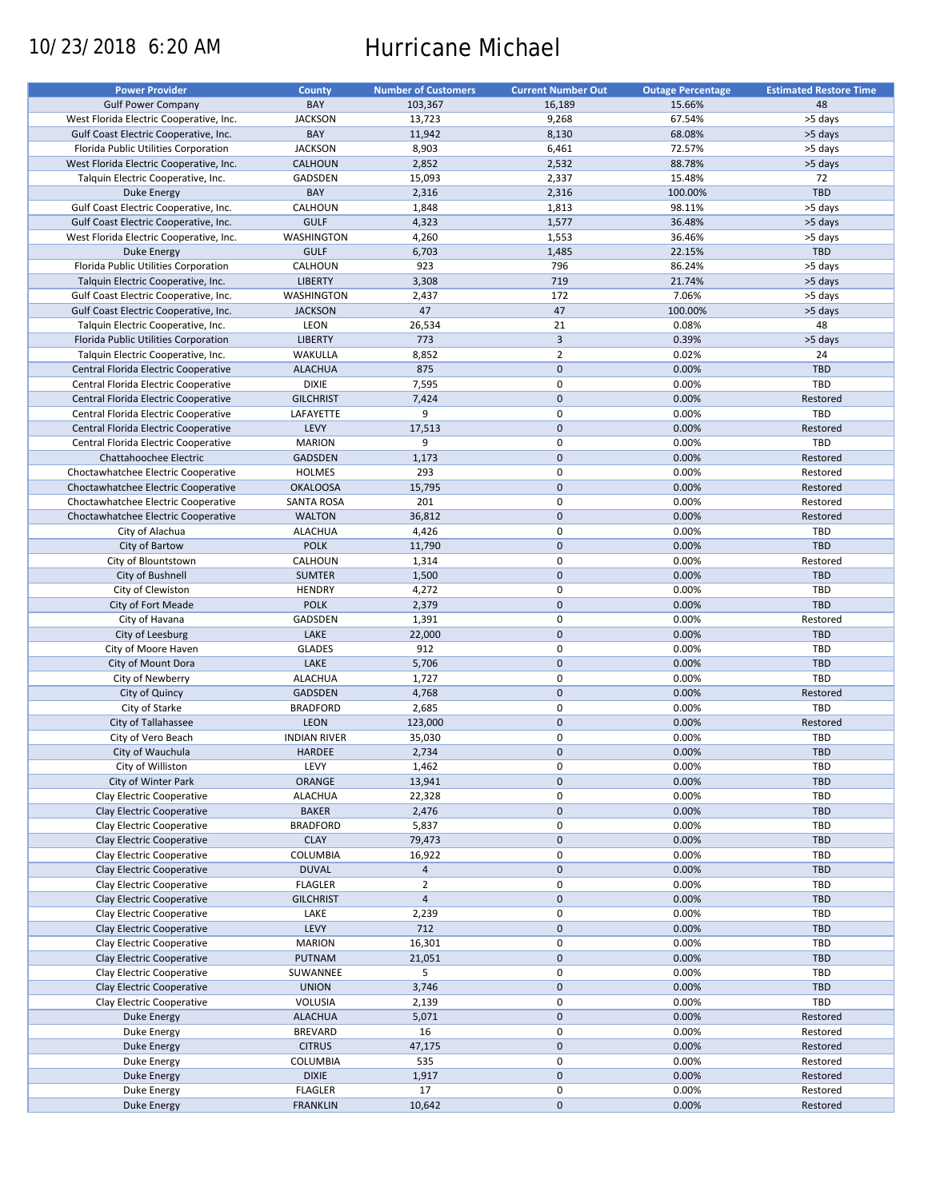# 10/23/2018 6:20 AM Hurricane Michael

| <b>Power Provider</b>                   | County              | <b>Number of Customers</b> | <b>Current Number Out</b> | <b>Outage Percentage</b> | <b>Estimated Restore Time</b> |
|-----------------------------------------|---------------------|----------------------------|---------------------------|--------------------------|-------------------------------|
| <b>Gulf Power Company</b>               | BAY                 | 103,367                    | 16,189                    | 15.66%                   | 48                            |
| West Florida Electric Cooperative, Inc. | <b>JACKSON</b>      | 13,723                     | 9,268                     | 67.54%                   | >5 days                       |
| Gulf Coast Electric Cooperative, Inc.   | BAY                 | 11,942                     | 8,130                     | 68.08%                   | >5 days                       |
|                                         |                     |                            |                           |                          |                               |
| Florida Public Utilities Corporation    | <b>JACKSON</b>      | 8,903                      | 6,461                     | 72.57%                   | >5 days                       |
| West Florida Electric Cooperative, Inc. | <b>CALHOUN</b>      | 2,852                      | 2,532                     | 88.78%                   | >5 days                       |
| Talquin Electric Cooperative, Inc.      | GADSDEN             | 15,093                     | 2,337                     | 15.48%                   | 72                            |
| <b>Duke Energy</b>                      | BAY                 | 2,316                      | 2,316                     | 100.00%                  | <b>TBD</b>                    |
| Gulf Coast Electric Cooperative, Inc.   | CALHOUN             | 1,848                      | 1,813                     | 98.11%                   | >5 days                       |
| Gulf Coast Electric Cooperative, Inc.   | <b>GULF</b>         | 4,323                      | 1,577                     | 36.48%                   | >5 days                       |
| West Florida Electric Cooperative, Inc. | WASHINGTON          | 4,260                      | 1,553                     | 36.46%                   | >5 days                       |
| Duke Energy                             | <b>GULF</b>         | 6,703                      | 1,485                     | 22.15%                   | TBD                           |
| Florida Public Utilities Corporation    | CALHOUN             | 923                        | 796                       | 86.24%                   | >5 days                       |
| Talquin Electric Cooperative, Inc.      | <b>LIBERTY</b>      | 3,308                      | 719                       | 21.74%                   | >5 days                       |
|                                         |                     |                            |                           |                          |                               |
| Gulf Coast Electric Cooperative, Inc.   | <b>WASHINGTON</b>   | 2,437                      | 172                       | 7.06%                    | >5 days                       |
| Gulf Coast Electric Cooperative, Inc.   | <b>JACKSON</b>      | 47                         | 47                        | 100.00%                  | >5 days                       |
| Talquin Electric Cooperative, Inc.      | LEON                | 26,534                     | 21                        | 0.08%                    | 48                            |
| Florida Public Utilities Corporation    | <b>LIBERTY</b>      | 773                        | $\overline{3}$            | 0.39%                    | >5 days                       |
| Talquin Electric Cooperative, Inc.      | WAKULLA             | 8,852                      | $\overline{2}$            | 0.02%                    | 24                            |
| Central Florida Electric Cooperative    | <b>ALACHUA</b>      | 875                        | $\mathbf{0}$              | 0.00%                    | <b>TBD</b>                    |
| Central Florida Electric Cooperative    | <b>DIXIE</b>        | 7,595                      | $\mathbf 0$               | 0.00%                    | TBD                           |
| Central Florida Electric Cooperative    | <b>GILCHRIST</b>    | 7,424                      | $\mathbf 0$               | 0.00%                    | Restored                      |
| Central Florida Electric Cooperative    | LAFAYETTE           | 9                          | $\mathsf 0$               | 0.00%                    | TBD                           |
|                                         | LEVY                |                            | $\mathbf 0$               |                          |                               |
| Central Florida Electric Cooperative    |                     | 17,513                     |                           | 0.00%                    | Restored                      |
| Central Florida Electric Cooperative    | <b>MARION</b>       | 9                          | $\mathbf 0$               | 0.00%                    | TBD                           |
| Chattahoochee Electric                  | <b>GADSDEN</b>      | 1,173                      | $\mathbf{0}$              | 0.00%                    | Restored                      |
| Choctawhatchee Electric Cooperative     | <b>HOLMES</b>       | 293                        | 0                         | 0.00%                    | Restored                      |
| Choctawhatchee Electric Cooperative     | <b>OKALOOSA</b>     | 15,795                     | $\mathbf 0$               | 0.00%                    | Restored                      |
| Choctawhatchee Electric Cooperative     | <b>SANTA ROSA</b>   | 201                        | $\mathbf 0$               | 0.00%                    | Restored                      |
| Choctawhatchee Electric Cooperative     | <b>WALTON</b>       | 36,812                     | $\mathbf 0$               | 0.00%                    | Restored                      |
| City of Alachua                         | <b>ALACHUA</b>      | 4,426                      | $\mathsf 0$               | 0.00%                    | TBD                           |
| City of Bartow                          | <b>POLK</b>         | 11,790                     | $\mathbf 0$               | 0.00%                    | <b>TBD</b>                    |
|                                         |                     |                            | $\mathbf 0$               |                          |                               |
| City of Blountstown                     | CALHOUN             | 1,314                      |                           | 0.00%                    | Restored                      |
| City of Bushnell                        | <b>SUMTER</b>       | 1,500                      | $\mathbf 0$               | 0.00%                    | <b>TBD</b>                    |
| City of Clewiston                       | <b>HENDRY</b>       | 4,272                      | $\mathsf 0$               | 0.00%                    | TBD                           |
| City of Fort Meade                      | <b>POLK</b>         | 2,379                      | $\mathbf 0$               | 0.00%                    | <b>TBD</b>                    |
| City of Havana                          | GADSDEN             | 1,391                      | 0                         | 0.00%                    | Restored                      |
| City of Leesburg                        | LAKE                | 22,000                     | $\mathbf 0$               | 0.00%                    | <b>TBD</b>                    |
| City of Moore Haven                     | <b>GLADES</b>       | 912                        | $\pmb{0}$                 | 0.00%                    | <b>TBD</b>                    |
| City of Mount Dora                      | LAKE                | 5,706                      | $\mathbf 0$               | 0.00%                    | <b>TBD</b>                    |
| City of Newberry                        | <b>ALACHUA</b>      | 1,727                      | $\mathbf 0$               | 0.00%                    | TBD                           |
|                                         | <b>GADSDEN</b>      | 4,768                      | $\mathbf 0$               | 0.00%                    | Restored                      |
| City of Quincy                          |                     |                            |                           |                          |                               |
| City of Starke                          | <b>BRADFORD</b>     | 2,685                      | $\mathsf 0$               | 0.00%                    | TBD                           |
| City of Tallahassee                     | <b>LEON</b>         | 123,000                    | $\mathbf 0$               | 0.00%                    | Restored                      |
| City of Vero Beach                      | <b>INDIAN RIVER</b> | 35,030                     | $\pmb{0}$                 | 0.00%                    | <b>TBD</b>                    |
| City of Wauchula                        | <b>HARDEE</b>       | 2,734                      | $\mathbf{0}$              | 0.00%                    | <b>TBD</b>                    |
| City of Williston                       | LEVY                | 1,462                      | 0                         | 0.00%                    | TBD                           |
| City of Winter Park                     | ORANGE              | 13,941                     | $\pmb{0}$                 | 0.00%                    | TBD                           |
| Clay Electric Cooperative               | <b>ALACHUA</b>      | 22,328                     | 0                         | 0.00%                    | TBD                           |
| Clay Electric Cooperative               | <b>BAKER</b>        | 2,476                      | $\mathbf 0$               | 0.00%                    | <b>TBD</b>                    |
|                                         | <b>BRADFORD</b>     |                            | $\pmb{0}$                 |                          |                               |
| Clay Electric Cooperative               |                     | 5,837                      |                           | 0.00%                    | TBD                           |
| Clay Electric Cooperative               | <b>CLAY</b>         | 79,473                     | $\pmb{0}$                 | 0.00%                    | <b>TBD</b>                    |
| Clay Electric Cooperative               | COLUMBIA            | 16,922                     | $\pmb{0}$                 | 0.00%                    | TBD                           |
| Clay Electric Cooperative               | <b>DUVAL</b>        | $\overline{4}$             | $\mathbf 0$               | 0.00%                    | TBD                           |
| Clay Electric Cooperative               | <b>FLAGLER</b>      | $\overline{2}$             | $\mathbf 0$               | 0.00%                    | TBD                           |
| Clay Electric Cooperative               | <b>GILCHRIST</b>    | $\overline{a}$             | $\pmb{0}$                 | 0.00%                    | TBD                           |
| Clay Electric Cooperative               | LAKE                | 2,239                      | $\pmb{0}$                 | 0.00%                    | TBD                           |
| Clay Electric Cooperative               | LEVY                | 712                        | $\mathbf 0$               | 0.00%                    | TBD                           |
| Clay Electric Cooperative               | <b>MARION</b>       | 16,301                     | $\mathbf 0$               | 0.00%                    | TBD                           |
|                                         |                     |                            |                           |                          |                               |
| Clay Electric Cooperative               | PUTNAM              | 21,051                     | $\pmb{0}$                 | 0.00%                    | <b>TBD</b>                    |
| Clay Electric Cooperative               | SUWANNEE            | 5                          | $\pmb{0}$                 | 0.00%                    | TBD                           |
| Clay Electric Cooperative               | <b>UNION</b>        | 3,746                      | $\mathbf 0$               | 0.00%                    | TBD                           |
| Clay Electric Cooperative               | VOLUSIA             | 2,139                      | $\mathbf 0$               | 0.00%                    | TBD                           |
| <b>Duke Energy</b>                      | <b>ALACHUA</b>      | 5,071                      | $\pmb{0}$                 | 0.00%                    | Restored                      |
| Duke Energy                             | <b>BREVARD</b>      | 16                         | $\pmb{0}$                 | 0.00%                    | Restored                      |
| Duke Energy                             | <b>CITRUS</b>       | 47,175                     | $\pmb{0}$                 | 0.00%                    | Restored                      |
| Duke Energy                             | COLUMBIA            | 535                        | $\mathsf 0$               | 0.00%                    | Restored                      |
|                                         | <b>DIXIE</b>        | 1,917                      | $\pmb{0}$                 | 0.00%                    | Restored                      |
| Duke Energy                             |                     |                            |                           |                          |                               |
| Duke Energy                             | <b>FLAGLER</b>      | 17                         | 0                         | 0.00%                    | Restored                      |
| Duke Energy                             | <b>FRANKLIN</b>     | 10,642                     | $\pmb{0}$                 | 0.00%                    | Restored                      |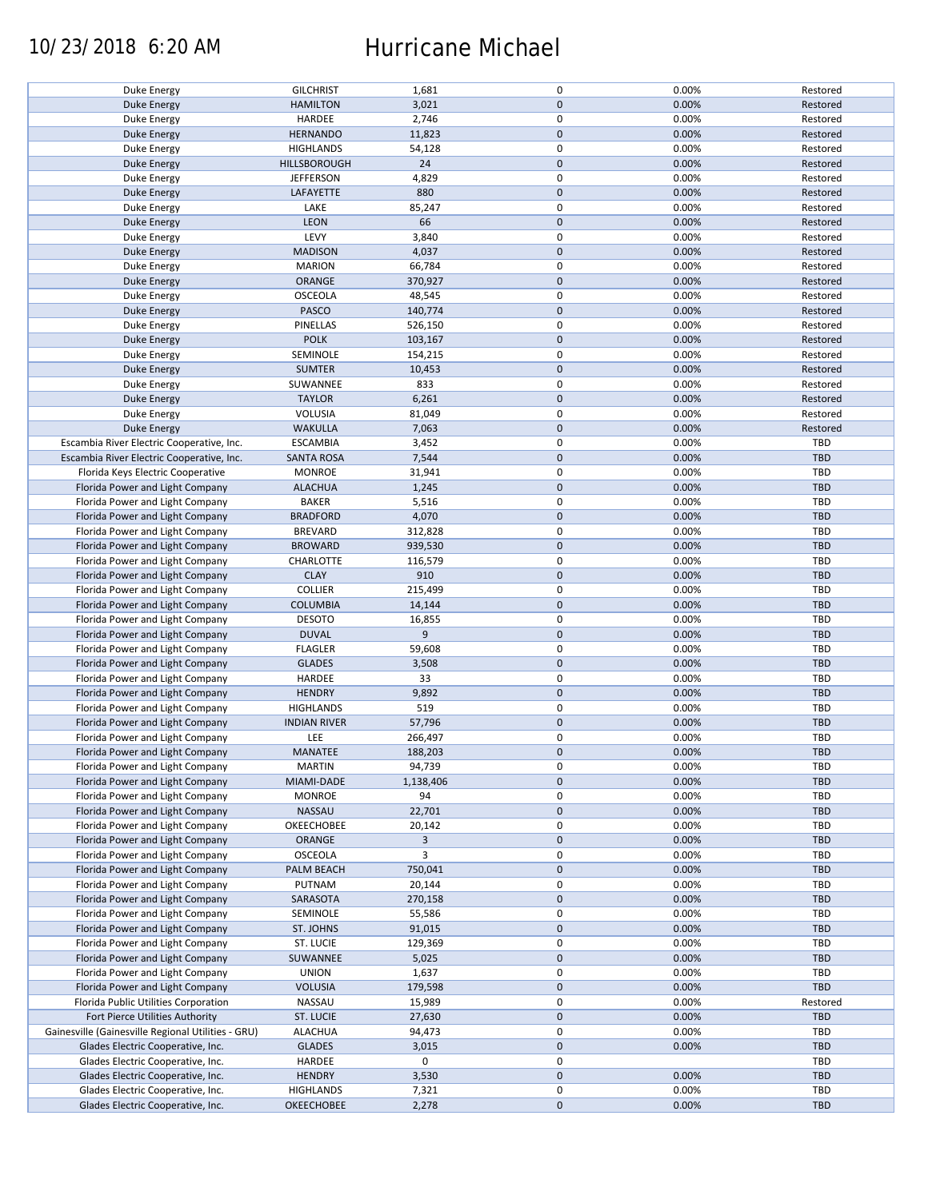## 10/23/2018 6:20 AM Hurricane Michael

| Duke Energy                                        | <b>GILCHRIST</b>    | 1,681     | 0            | 0.00% | Restored   |
|----------------------------------------------------|---------------------|-----------|--------------|-------|------------|
|                                                    |                     |           |              |       |            |
| Duke Energy                                        | <b>HAMILTON</b>     | 3,021     | $\mathbf{0}$ | 0.00% | Restored   |
| Duke Energy                                        | HARDEE              | 2,746     | 0            | 0.00% | Restored   |
| Duke Energy                                        | <b>HERNANDO</b>     | 11,823    | $\mathbf 0$  | 0.00% | Restored   |
| Duke Energy                                        | <b>HIGHLANDS</b>    | 54,128    | 0            | 0.00% | Restored   |
| Duke Energy                                        | <b>HILLSBOROUGH</b> | 24        | $\mathbf 0$  | 0.00% | Restored   |
|                                                    |                     |           |              |       |            |
| Duke Energy                                        | <b>JEFFERSON</b>    | 4,829     | 0            | 0.00% | Restored   |
| Duke Energy                                        | LAFAYETTE           | 880       | $\mathbf 0$  | 0.00% | Restored   |
| Duke Energy                                        | LAKE                | 85,247    | $\pmb{0}$    | 0.00% | Restored   |
| Duke Energy                                        | <b>LEON</b>         | 66        | $\mathbf 0$  | 0.00% | Restored   |
|                                                    | LEVY                | 3,840     | 0            | 0.00% | Restored   |
| Duke Energy                                        |                     |           |              |       |            |
| Duke Energy                                        | <b>MADISON</b>      | 4,037     | $\mathbf 0$  | 0.00% | Restored   |
| Duke Energy                                        | <b>MARION</b>       | 66,784    | 0            | 0.00% | Restored   |
| Duke Energy                                        | ORANGE              | 370,927   | $\mathbf 0$  | 0.00% | Restored   |
| Duke Energy                                        | <b>OSCEOLA</b>      | 48,545    | 0            | 0.00% | Restored   |
|                                                    |                     | 140,774   | $\mathbf 0$  | 0.00% |            |
| Duke Energy                                        | PASCO               |           |              |       | Restored   |
| Duke Energy                                        | PINELLAS            | 526,150   | $\pmb{0}$    | 0.00% | Restored   |
| Duke Energy                                        | <b>POLK</b>         | 103,167   | $\mathbf 0$  | 0.00% | Restored   |
| Duke Energy                                        | SEMINOLE            | 154,215   | 0            | 0.00% | Restored   |
| Duke Energy                                        | <b>SUMTER</b>       | 10,453    | $\mathbf 0$  | 0.00% | Restored   |
|                                                    |                     |           |              |       |            |
| Duke Energy                                        | SUWANNEE            | 833       | 0            | 0.00% | Restored   |
| <b>Duke Energy</b>                                 | <b>TAYLOR</b>       | 6,261     | $\pmb{0}$    | 0.00% | Restored   |
| Duke Energy                                        | VOLUSIA             | 81,049    | 0            | 0.00% | Restored   |
| <b>Duke Energy</b>                                 | <b>WAKULLA</b>      | 7,063     | $\mathbf 0$  | 0.00% | Restored   |
| Escambia River Electric Cooperative, Inc.          | <b>ESCAMBIA</b>     | 3,452     | 0            | 0.00% | TBD        |
|                                                    |                     |           |              |       |            |
| Escambia River Electric Cooperative, Inc.          | <b>SANTA ROSA</b>   | 7,544     | $\mathbf 0$  | 0.00% | <b>TBD</b> |
| Florida Keys Electric Cooperative                  | <b>MONROE</b>       | 31,941    | $\pmb{0}$    | 0.00% | TBD        |
| Florida Power and Light Company                    | <b>ALACHUA</b>      | 1,245     | $\mathbf 0$  | 0.00% | TBD        |
| Florida Power and Light Company                    | <b>BAKER</b>        | 5,516     | 0            | 0.00% | TBD        |
| Florida Power and Light Company                    | <b>BRADFORD</b>     | 4,070     | $\pmb{0}$    | 0.00% | TBD        |
|                                                    |                     |           |              |       |            |
| Florida Power and Light Company                    | <b>BREVARD</b>      | 312,828   | 0            | 0.00% | TBD        |
| Florida Power and Light Company                    | <b>BROWARD</b>      | 939,530   | $\mathbf 0$  | 0.00% | <b>TBD</b> |
| Florida Power and Light Company                    | CHARLOTTE           | 116,579   | 0            | 0.00% | TBD        |
| Florida Power and Light Company                    | <b>CLAY</b>         | 910       | $\pmb{0}$    | 0.00% | <b>TBD</b> |
| Florida Power and Light Company                    | <b>COLLIER</b>      | 215,499   | 0            | 0.00% | TBD        |
|                                                    |                     |           |              |       |            |
| Florida Power and Light Company                    | <b>COLUMBIA</b>     | 14,144    | $\mathbf 0$  | 0.00% | TBD        |
| Florida Power and Light Company                    | <b>DESOTO</b>       | 16,855    | $\mathbf 0$  | 0.00% | TBD        |
| Florida Power and Light Company                    | <b>DUVAL</b>        | 9         | $\pmb{0}$    | 0.00% | TBD        |
| Florida Power and Light Company                    | <b>FLAGLER</b>      | 59,608    | 0            | 0.00% | TBD        |
| Florida Power and Light Company                    | <b>GLADES</b>       | 3,508     | $\mathbf 0$  | 0.00% | TBD        |
|                                                    |                     |           |              |       |            |
| Florida Power and Light Company                    | HARDEE              | 33        | 0            | 0.00% | TBD        |
| Florida Power and Light Company                    | <b>HENDRY</b>       | 9,892     | $\mathbf 0$  | 0.00% | <b>TBD</b> |
| Florida Power and Light Company                    | <b>HIGHLANDS</b>    | 519       | $\pmb{0}$    | 0.00% | TBD        |
| Florida Power and Light Company                    | <b>INDIAN RIVER</b> | 57,796    | $\mathbf 0$  | 0.00% | TBD        |
| Florida Power and Light Company                    | LEE                 | 266,497   | 0            | 0.00% | TBD        |
|                                                    |                     |           |              |       |            |
| Florida Power and Light Company                    | <b>MANATEE</b>      | 188,203   | $\mathbf{0}$ | 0.00% | TBD        |
| Florida Power and Light Company                    | <b>MARTIN</b>       | 94,739    | 0            | 0.00% | TBD        |
| Florida Power and Light Company                    | MIAMI-DADE          | 1,138,406 | $\mathbf 0$  | 0.00% | TBD        |
| Florida Power and Light Company                    | <b>MONROE</b>       | 94        | 0            | 0.00% | TBD        |
| Florida Power and Light Company                    |                     |           | $\mathbf 0$  | 0.00% | TBD        |
|                                                    | NASSAU              | 22,701    |              |       |            |
| Florida Power and Light Company                    | OKEECHOBEE          | 20,142    | 0            | 0.00% | TBD        |
| Florida Power and Light Company                    | ORANGE              | 3         | $\mathbf 0$  | 0.00% | TBD        |
| Florida Power and Light Company                    | <b>OSCEOLA</b>      | 3         | 0            | 0.00% | TBD        |
| Florida Power and Light Company                    | PALM BEACH          | 750,041   | $\mathbf 0$  | 0.00% | TBD        |
|                                                    |                     |           | 0            |       | TBD        |
| Florida Power and Light Company                    | PUTNAM              | 20,144    |              | 0.00% |            |
| Florida Power and Light Company                    | SARASOTA            | 270,158   | $\mathbf 0$  | 0.00% | TBD        |
| Florida Power and Light Company                    | SEMINOLE            | 55,586    | 0            | 0.00% | TBD        |
| Florida Power and Light Company                    | ST. JOHNS           | 91,015    | $\mathbf 0$  | 0.00% | TBD        |
| Florida Power and Light Company                    | ST. LUCIE           | 129,369   | 0            | 0.00% | TBD        |
|                                                    |                     |           |              |       |            |
| Florida Power and Light Company                    | SUWANNEE            | 5,025     | $\mathbf 0$  | 0.00% | TBD        |
| Florida Power and Light Company                    | <b>UNION</b>        | 1,637     | 0            | 0.00% | TBD        |
| Florida Power and Light Company                    | <b>VOLUSIA</b>      | 179,598   | $\mathbf 0$  | 0.00% | TBD        |
| Florida Public Utilities Corporation               | NASSAU              | 15,989    | 0            | 0.00% | Restored   |
| Fort Pierce Utilities Authority                    | <b>ST. LUCIE</b>    | 27,630    | $\mathbf 0$  | 0.00% | TBD        |
|                                                    |                     |           |              |       |            |
| Gainesville (Gainesville Regional Utilities - GRU) | ALACHUA             | 94,473    | 0            | 0.00% | TBD        |
| Glades Electric Cooperative, Inc.                  | <b>GLADES</b>       | 3,015     | $\mathbf 0$  | 0.00% | TBD        |
| Glades Electric Cooperative, Inc.                  | HARDEE              | 0         | 0            |       | TBD        |
| Glades Electric Cooperative, Inc.                  | <b>HENDRY</b>       | 3,530     | $\pmb{0}$    | 0.00% | TBD        |
| Glades Electric Cooperative, Inc.                  | <b>HIGHLANDS</b>    | 7,321     | 0            | 0.00% | TBD        |
|                                                    |                     |           |              |       |            |
| Glades Electric Cooperative, Inc.                  | <b>OKEECHOBEE</b>   | 2,278     | $\mathbf 0$  | 0.00% | TBD        |